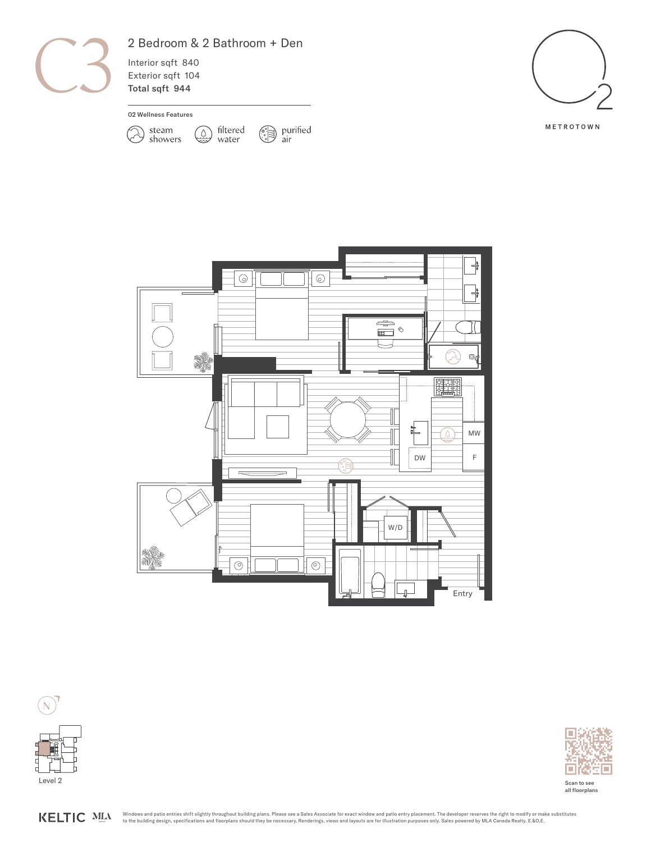

## 2 Bedroom & 2 Bathroom + Den

 $\mathbb{Q}$ 

filtered

water

Interior sqft 840 Exterior sqft 104 Total sqft 944

02 Wellness Features

 $\gg$ 

steam<br>showers







 $\bigcirc$  purified<br>air



KELTIC MLA



Scan to see all floorplans

Windows and patio entries shift slightly throughout building plans. Please see a Sales Associate for exact window and patio entry placement. The developer reserves the right to modify or make substitutes<br>to the building de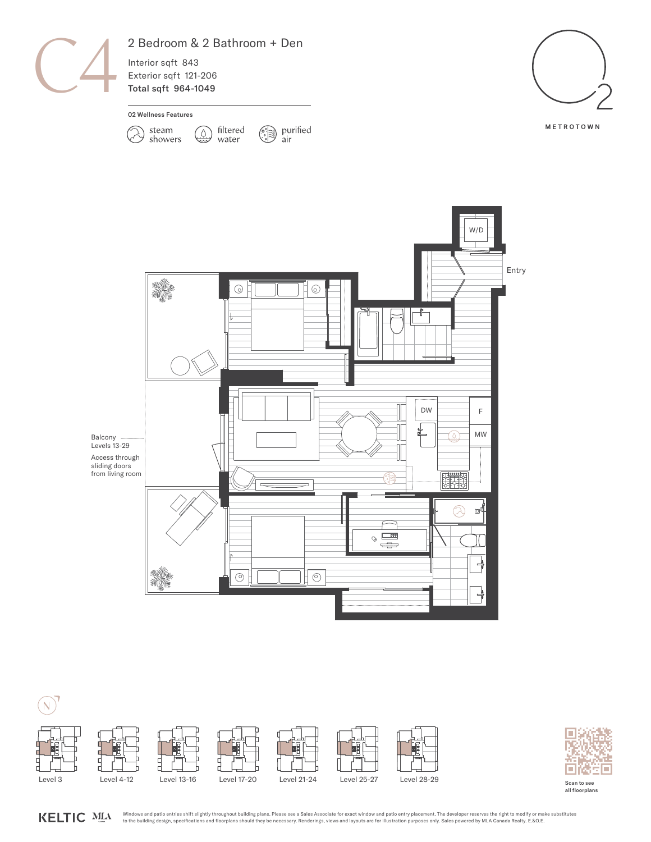





Scan to see all floorplans

Windows and patio entries shift slightly throughout building plans. Please see a Sales Associate for exact window and patio entry placement. The developer reserves the right to modify or make substitutes KELTIC MLA to the building design, specifications and floorplans should they be necessary. Renderings, views and layouts are for illustration purposes only. Sales powered by MLA Canada Realty. E.&O.E.